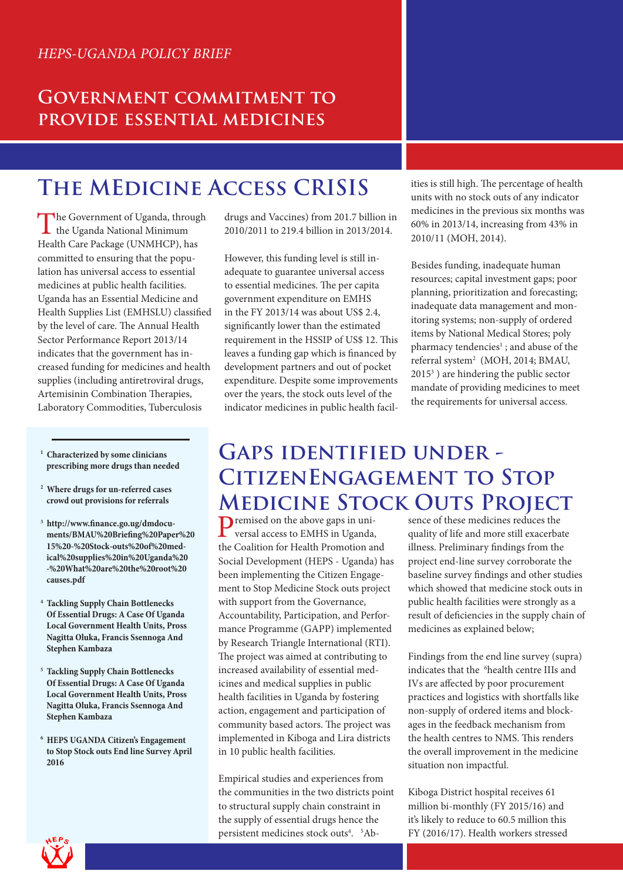#### **Government commitment to provide essential medicines**

# **The MEdicine Access CRISIS**

The Government of Uganda, through<br>the Uganda National Minimum Health Care Package (UNMHCP), has committed to ensuring that the population has universal access to essential medicines at public health facilities. Uganda has an Essential Medicine and Health Supplies List (EMHSLU) classified by the level of care. The Annual Health Sector Performance Report 2013/14 indicates that the government has increased funding for medicines and health supplies (including antiretroviral drugs, Artemisinin Combination Therapies, Laboratory Commodities, Tuberculosis

- **1 Characterized by some clinicians prescribing more drugs than needed**
- **2 Where drugs for un-referred cases crowd out provisions for referrals**
- **3 http://www.finance.go.ug/dmdocuments/BMAU%20Briefing%20Paper%20 15%20-%20Stock-outs%20of%20medical%20supplies%20in%20Uganda%20 -%20What%20are%20the%20root%20 causes.pdf**
- **4 Tackling Supply Chain Bottlenecks Of Essential Drugs: A Case Of Uganda Local Government Health Units, Pross Nagitta Oluka, Francis Ssennoga And Stephen Kambaza**
- **5 Tackling Supply Chain Bottlenecks Of Essential Drugs: A Case Of Uganda Local Government Health Units, Pross Nagitta Oluka, Francis Ssennoga And Stephen Kambaza**
- **6 HEPS UGANDA Citizen's Engagement to Stop Stock outs End line Survey April 2016**

drugs and Vaccines) from 201.7 billion in 2010/2011 to 219.4 billion in 2013/2014.

However, this funding level is still inadequate to guarantee universal access to essential medicines. The per capita government expenditure on EMHS in the FY 2013/14 was about US\$ 2.4, significantly lower than the estimated requirement in the HSSIP of US\$ 12. This leaves a funding gap which is financed by development partners and out of pocket expenditure. Despite some improvements over the years, the stock outs level of the indicator medicines in public health facilities is still high. The percentage of health units with no stock outs of any indicator medicines in the previous six months was 60% in 2013/14, increasing from 43% in 2010/11 (MOH, 2014).

Besides funding, inadequate human resources; capital investment gaps; poor planning, prioritization and forecasting; inadequate data management and monitoring systems; non-supply of ordered items by National Medical Stores; poly pharmacy tendencies<sup>1</sup>; and abuse of the referral system<sup>2</sup> (MOH, 2014; BMAU, 20153 ) are hindering the public sector mandate of providing medicines to meet the requirements for universal access.

### **Gaps identified under - CitizenEngagement to Stop Medicine Stock Outs Project**

Premised on the above gaps in universal access to EMHS in Uganda, the Coalition for Health Promotion and Social Development (HEPS - Uganda) has been implementing the Citizen Engagement to Stop Medicine Stock outs project with support from the Governance, Accountability, Participation, and Performance Programme (GAPP) implemented by Research Triangle International (RTI). The project was aimed at contributing to increased availability of essential medicines and medical supplies in public health facilities in Uganda by fostering action, engagement and participation of community based actors. The project was implemented in Kiboga and Lira districts in 10 public health facilities.

Empirical studies and experiences from the communities in the two districts point to structural supply chain constraint in the supply of essential drugs hence the persistent medicines stock outs<sup>4</sup>. <sup>5</sup>Absence of these medicines reduces the quality of life and more still exacerbate illness. Preliminary findings from the project end-line survey corroborate the baseline survey findings and other studies which showed that medicine stock outs in public health facilities were strongly as a result of deficiencies in the supply chain of medicines as explained below;

Findings from the end line survey (supra) indicates that the <sup>6</sup>health centre IIIs and IVs are affected by poor procurement practices and logistics with shortfalls like non-supply of ordered items and blockages in the feedback mechanism from the health centres to NMS. This renders the overall improvement in the medicine situation non impactful.

Kiboga District hospital receives 61 million bi-monthly (FY 2015/16) and it's likely to reduce to 60.5 million this FY (2016/17). Health workers stressed